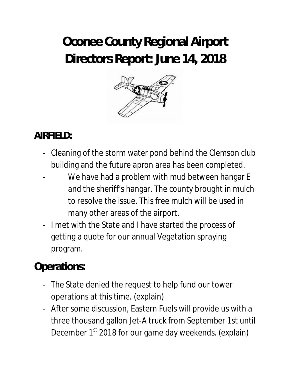# **Oconee County Regional Airport Directors Report: June 14, 2018**



### **AIRFIELD:**

- Cleaning of the storm water pond behind the Clemson club building and the future apron area has been completed.
- We have had a problem with mud between hangar E and the sheriff's hangar. The county brought in mulch to resolve the issue. This free mulch will be used in many other areas of the airport.
- I met with the State and I have started the process of getting a quote for our annual Vegetation spraying program.

## **Operations:**

- The State denied the request to help fund our tower operations at this time. (explain)
- After some discussion, Eastern Fuels will provide us with a three thousand gallon Jet-A truck from September 1st until December 1<sup>st</sup> 2018 for our game day weekends. (explain)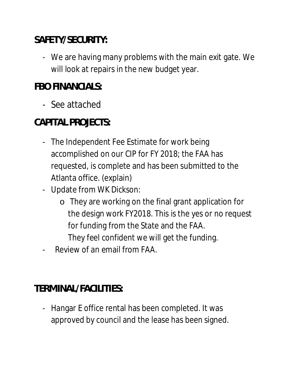### **SAFETY/SECURITY:**

- We are having many problems with the main exit gate. We will look at repairs in the new budget year.

### **FBO FINANCIALS:**

- See attached

## **CAPITAL PROJECTS:**

- The Independent Fee Estimate for work being accomplished on our CIP for FY 2018; the FAA has requested, is complete and has been submitted to the Atlanta office. (explain)
- Update from WK Dickson:
	- o They are working on the final grant application for the design work FY2018. This is the yes or no request for funding from the State and the FAA.
		- They feel confident we will get the funding.
- Review of an email from FAA.

#### **TERMINAL/FACILITIES:**

- Hangar E office rental has been completed. It was approved by council and the lease has been signed.